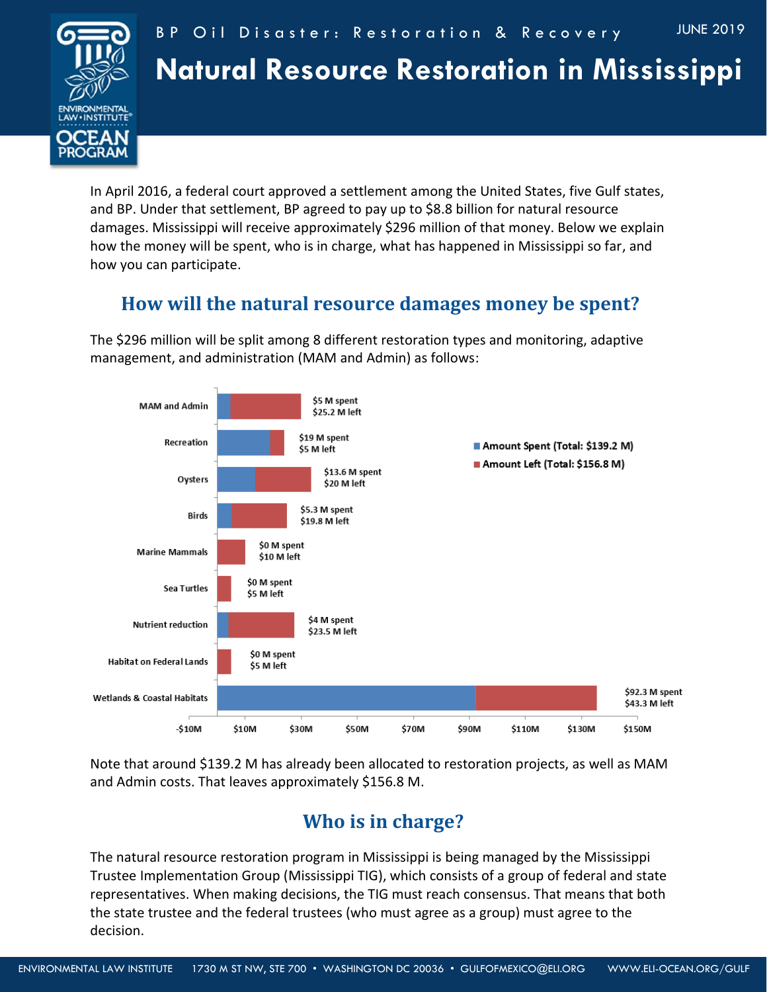

In April 2016, a federal court approved a settlement among the United States, five Gulf states, and BP. Under that settlement, BP agreed to pay up to \$8.8 billion for natural resource damages. Mississippi will receive approximately \$296 million of that money. Below we explain how the money will be spent, who is in charge, what has happened in Mississippi so far, and how you can participate.

## **How will the natural resource damages money be spent?**

The \$296 million will be split among 8 different restoration types and monitoring, adaptive management, and administration (MAM and Admin) as follows:



Note that around \$139.2 M has already been allocated to restoration projects, as well as MAM and Admin costs. That leaves approximately \$156.8 M.

## **Who is in charge?**

The natural resource restoration program in Mississippi is being managed by the Mississippi Trustee Implementation Group (Mississippi TIG), which consists of a group of federal and state representatives. When making decisions, the TIG must reach consensus. That means that both the state trustee and the federal trustees (who must agree as a group) must agree to the decision.